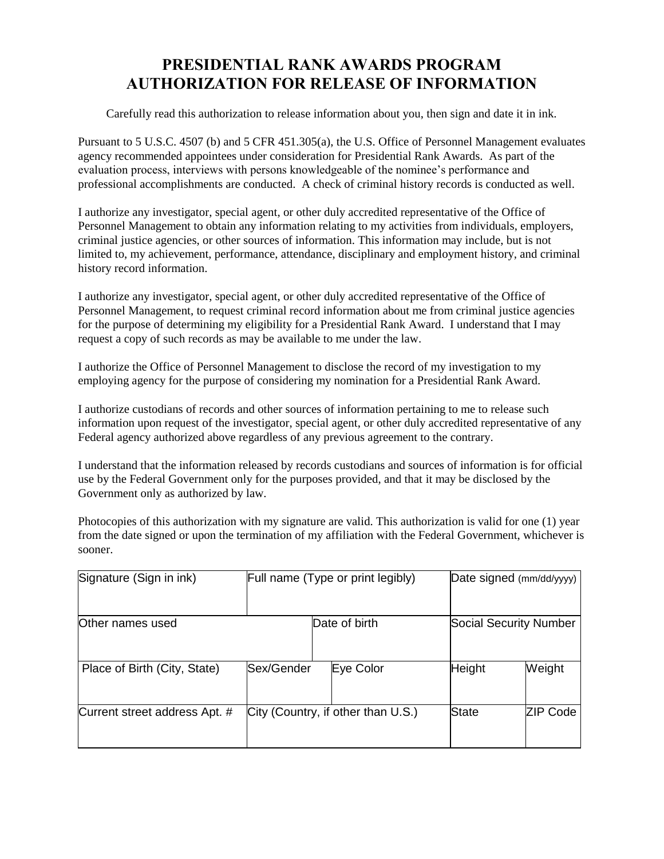## **PRESIDENTIAL RANK AWARDS PROGRAM AUTHORIZATION FOR RELEASE OF INFORMATION**

Carefully read this authorization to release information about you, then sign and date it in ink.

Pursuant to 5 U.S.C. 4507 (b) and 5 CFR 451.305(a), the U.S. Office of Personnel Management evaluates agency recommended appointees under consideration for Presidential Rank Awards. As part of the evaluation process, interviews with persons knowledgeable of the nominee's performance and professional accomplishments are conducted. A check of criminal history records is conducted as well.

I authorize any investigator, special agent, or other duly accredited representative of the Office of Personnel Management to obtain any information relating to my activities from individuals, employers, criminal justice agencies, or other sources of information. This information may include, but is not limited to, my achievement, performance, attendance, disciplinary and employment history, and criminal history record information.

I authorize any investigator, special agent, or other duly accredited representative of the Office of Personnel Management, to request criminal record information about me from criminal justice agencies for the purpose of determining my eligibility for a Presidential Rank Award. I understand that I may request a copy of such records as may be available to me under the law.

I authorize the Office of Personnel Management to disclose the record of my investigation to my employing agency for the purpose of considering my nomination for a Presidential Rank Award.

I authorize custodians of records and other sources of information pertaining to me to release such information upon request of the investigator, special agent, or other duly accredited representative of any Federal agency authorized above regardless of any previous agreement to the contrary.

I understand that the information released by records custodians and sources of information is for official use by the Federal Government only for the purposes provided, and that it may be disclosed by the Government only as authorized by law.

Photocopies of this authorization with my signature are valid. This authorization is valid for one (1) year from the date signed or upon the termination of my affiliation with the Federal Government, whichever is sooner.

| Signature (Sign in ink)       | Full name (Type or print legibly)  |               |                        | Date signed (mm/dd/yyyy) |  |
|-------------------------------|------------------------------------|---------------|------------------------|--------------------------|--|
| Other names used              |                                    | Date of birth | Social Security Number |                          |  |
| Place of Birth (City, State)  | <b>Sex/Gender</b>                  | Eye Color     | Height                 | Weight                   |  |
| Current street address Apt. # | City (Country, if other than U.S.) |               | State                  | ZIP Code                 |  |